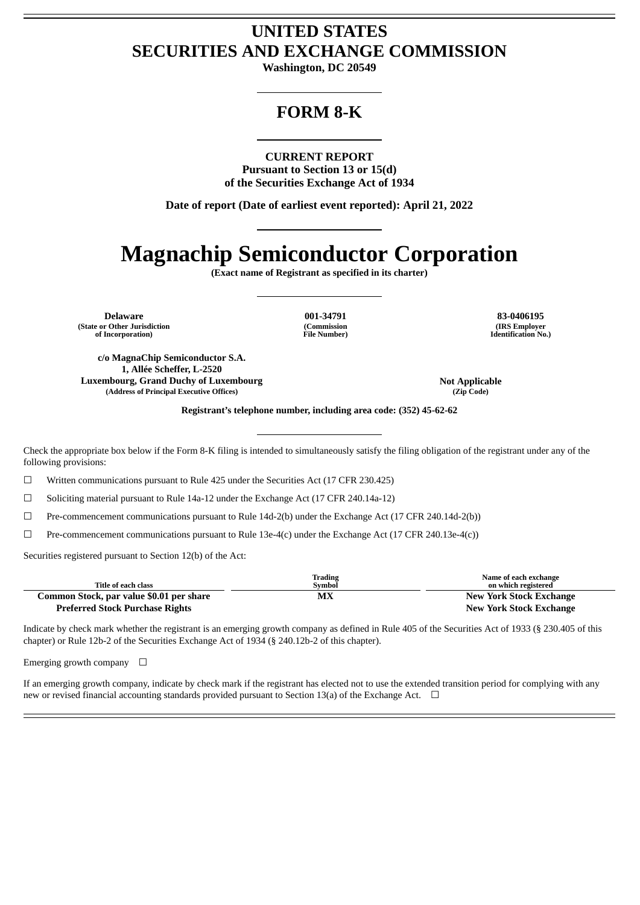# **UNITED STATES SECURITIES AND EXCHANGE COMMISSION**

**Washington, DC 20549**

## **FORM 8-K**

**CURRENT REPORT**

**Pursuant to Section 13 or 15(d) of the Securities Exchange Act of 1934**

**Date of report (Date of earliest event reported): April 21, 2022**

# **Magnachip Semiconductor Corporation**

**(Exact name of Registrant as specified in its charter)**

**Delaware 001-34791 83-0406195 (State or Other Jurisdiction of Incorporation)**

**(Commission File Number)**

**(IRS Employer Identification No.)**

**c/o MagnaChip Semiconductor S.A. 1, Allée Scheffer, L-2520 Luxembourg, Grand Duchy of Luxembourg Not Applicable (Address of Principal Executive Offices) (Zip Code)**

**Registrant's telephone number, including area code: (352) 45-62-62**

Check the appropriate box below if the Form 8-K filing is intended to simultaneously satisfy the filing obligation of the registrant under any of the following provisions:

☐ Written communications pursuant to Rule 425 under the Securities Act (17 CFR 230.425)

☐ Soliciting material pursuant to Rule 14a-12 under the Exchange Act (17 CFR 240.14a-12)

☐ Pre-commencement communications pursuant to Rule 14d-2(b) under the Exchange Act (17 CFR 240.14d-2(b))

 $\Box$  Pre-commencement communications pursuant to Rule 13e-4(c) under the Exchange Act (17 CFR 240.13e-4(c))

Securities registered pursuant to Section 12(b) of the Act:

| Title of each class                      | Trading<br>Symbol | Name of each exchange<br>on which registered |
|------------------------------------------|-------------------|----------------------------------------------|
| Common Stock, par value \$0.01 per share | МX                | <b>New York Stock Exchange</b>               |
| <b>Preferred Stock Purchase Rights</b>   |                   | <b>New York Stock Exchange</b>               |

Indicate by check mark whether the registrant is an emerging growth company as defined in Rule 405 of the Securities Act of 1933 (§ 230.405 of this chapter) or Rule 12b-2 of the Securities Exchange Act of 1934 (§ 240.12b-2 of this chapter).

Emerging growth company  $\Box$ 

If an emerging growth company, indicate by check mark if the registrant has elected not to use the extended transition period for complying with any new or revised financial accounting standards provided pursuant to Section 13(a) of the Exchange Act.  $\Box$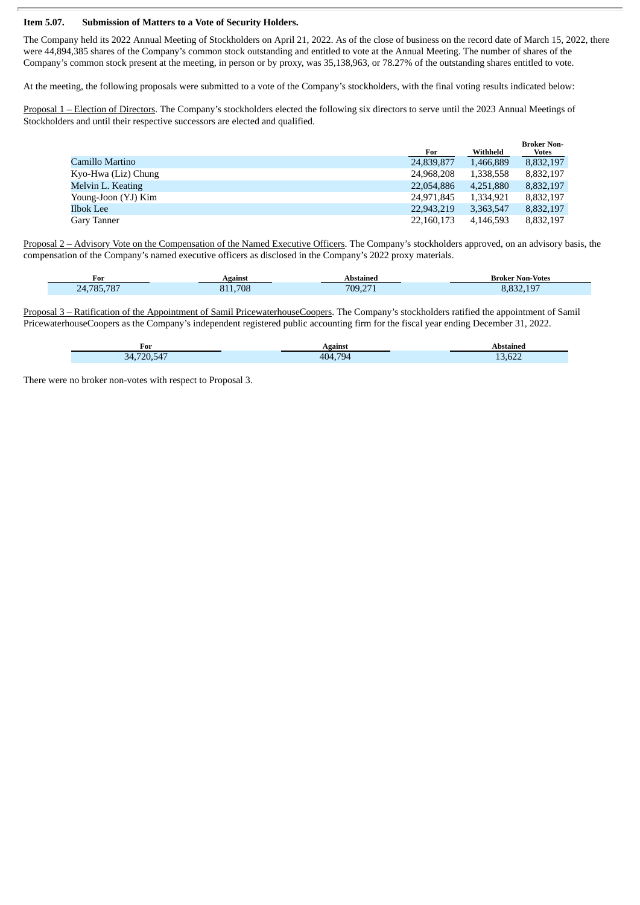#### **Item 5.07. Submission of Matters to a Vote of Security Holders.**

The Company held its 2022 Annual Meeting of Stockholders on April 21, 2022. As of the close of business on the record date of March 15, 2022, there were 44,894,385 shares of the Company's common stock outstanding and entitled to vote at the Annual Meeting. The number of shares of the Company's common stock present at the meeting, in person or by proxy, was 35,138,963, or 78.27% of the outstanding shares entitled to vote.

At the meeting, the following proposals were submitted to a vote of the Company's stockholders, with the final voting results indicated below:

Proposal 1 – Election of Directors. The Company's stockholders elected the following six directors to serve until the 2023 Annual Meetings of Stockholders and until their respective successors are elected and qualified.

|                     |            |           | <b>Broker Non-</b> |
|---------------------|------------|-----------|--------------------|
|                     | For        | Withheld  | <b>Votes</b>       |
| Camillo Martino     | 24,839,877 | 1,466,889 | 8,832,197          |
| Kyo-Hwa (Liz) Chung | 24,968,208 | 1,338,558 | 8,832,197          |
| Melvin L. Keating   | 22,054,886 | 4,251,880 | 8,832,197          |
| Young-Joon (YJ) Kim | 24,971,845 | 1,334,921 | 8,832,197          |
| Ilbok Lee           | 22,943,219 | 3,363,547 | 8,832,197          |
| Gary Tanner         | 22,160,173 | 4,146,593 | 8,832,197          |

Proposal 2 – Advisory Vote on the Compensation of the Named Executive Officers. The Company's stockholders approved, on an advisory basis, the compensation of the Company's named executive officers as disclosed in the Company's 2022 proxy materials.

| $\sim$<br>For             | Vgainst | stained<br>Ah           | Non-Votes<br>Broker |
|---------------------------|---------|-------------------------|---------------------|
| $70-$<br><b>705</b><br>77 | .708    | $700^{\circ}$<br>$\sim$ | $-40o$<br><b>DD</b> |

Proposal 3 – Ratification of the Appointment of Samil PricewaterhouseCoopers. The Company's stockholders ratified the appointment of Samil PricewaterhouseCoopers as the Company's independent registered public accounting firm for the fiscal year ending December 31, 2022.

| r or            | Lgainst    | Abstained                      |
|-----------------|------------|--------------------------------|
| 720.547<br>?⊿ ' | 794<br>404 | $\sim$<br>$\sqrt{ }$<br>13,622 |

There were no broker non-votes with respect to Proposal 3.

ī